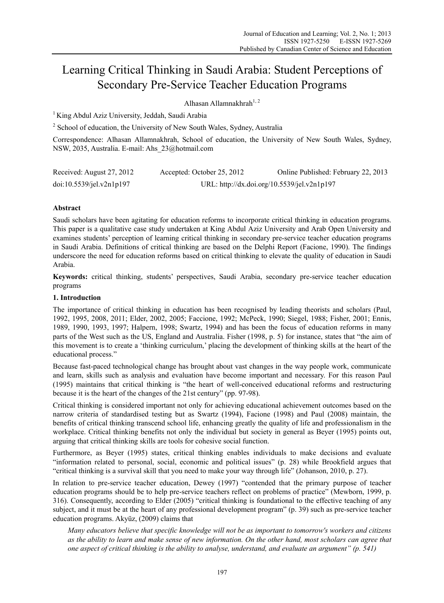# Learning Critical Thinking in Saudi Arabia: Student Perceptions of Secondary Pre-Service Teacher Education Programs

Alhasan Allamnakhrah<sup>1, 2</sup>

<sup>1</sup> King Abdul Aziz University, Jeddah, Saudi Arabia

<sup>2</sup> School of education, the University of New South Wales, Sydney, Australia

Correspondence: Alhasan Allamnakhrah, School of education, the University of New South Wales, Sydney, NSW, 2035, Australia. E-mail: Ahs\_23@hotmail.com

| Received: August 27, 2012 | Accepted: October 25, 2012                  | Online Published: February 22, 2013 |
|---------------------------|---------------------------------------------|-------------------------------------|
| doi:10.5539/jel.v2n1p197  | URL: http://dx.doi.org/10.5539/jel.v2n1p197 |                                     |

# **Abstract**

Saudi scholars have been agitating for education reforms to incorporate critical thinking in education programs. This paper is a qualitative case study undertaken at King Abdul Aziz University and Arab Open University and examines students' perception of learning critical thinking in secondary pre-service teacher education programs in Saudi Arabia. Definitions of critical thinking are based on the Delphi Report (Facione, 1990). The findings underscore the need for education reforms based on critical thinking to elevate the quality of education in Saudi Arabia.

**Keywords:** critical thinking, students' perspectives, Saudi Arabia, secondary pre-service teacher education programs

## **1. Introduction**

The importance of critical thinking in education has been recognised by leading theorists and scholars (Paul, 1992, 1995, 2008, 2011; Elder, 2002, 2005; Faccione, 1992; McPeck, 1990; Siegel, 1988; Fisher, 2001; Ennis, 1989, 1990, 1993, 1997; Halpern, 1998; Swartz, 1994) and has been the focus of education reforms in many parts of the West such as the US, England and Australia. Fisher (1998, p. 5) for instance, states that "the aim of this movement is to create a 'thinking curriculum,' placing the development of thinking skills at the heart of the educational process."

Because fast-paced technological change has brought about vast changes in the way people work, communicate and learn, skills such as analysis and evaluation have become important and necessary. For this reason Paul (1995) maintains that critical thinking is "the heart of well-conceived educational reforms and restructuring because it is the heart of the changes of the 21st century" (pp. 97-98).

Critical thinking is considered important not only for achieving educational achievement outcomes based on the narrow criteria of standardised testing but as Swartz (1994), Facione (1998) and Paul (2008) maintain, the benefits of critical thinking transcend school life, enhancing greatly the quality of life and professionalism in the workplace. Critical thinking benefits not only the individual but society in general as Beyer (1995) points out, arguing that critical thinking skills are tools for cohesive social function.

Furthermore, as Beyer (1995) states, critical thinking enables individuals to make decisions and evaluate "information related to personal, social, economic and political issues" (p. 28) while Brookfield argues that "critical thinking is a survival skill that you need to make your way through life" (Johanson, 2010, p. 27).

In relation to pre-service teacher education, Dewey (1997) "contended that the primary purpose of teacher education programs should be to help pre-service teachers reflect on problems of practice" (Mewborn, 1999, p. 316). Consequently, according to Elder (2005) "critical thinking is foundational to the effective teaching of any subject, and it must be at the heart of any professional development program" (p. 39) such as pre-service teacher education programs. Akyüz, (2009) claims that

*Many educators believe that specific knowledge will not be as important to tomorrow's workers and citizens as the ability to learn and make sense of new information. On the other hand, most scholars can agree that one aspect of critical thinking is the ability to analyse, understand, and evaluate an argument" (p. 541)*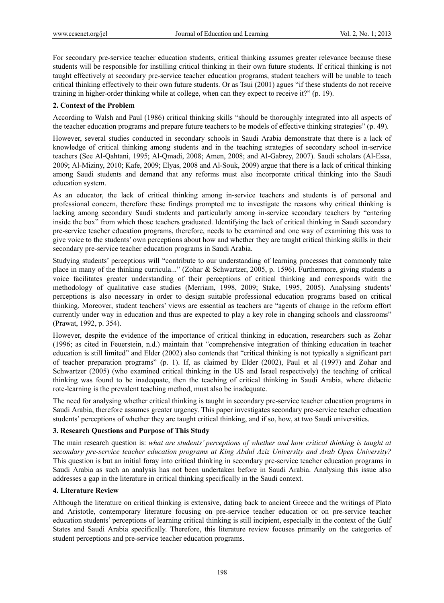For secondary pre-service teacher education students, critical thinking assumes greater relevance because these students will be responsible for instilling critical thinking in their own future students. If critical thinking is not taught effectively at secondary pre-service teacher education programs, student teachers will be unable to teach critical thinking effectively to their own future students. Or as Tsui (2001) agues "if these students do not receive training in higher-order thinking while at college, when can they expect to receive it?" (p. 19).

## **2. Context of the Problem**

According to Walsh and Paul (1986) critical thinking skills "should be thoroughly integrated into all aspects of the teacher education programs and prepare future teachers to be models of effective thinking strategies" (p. 49).

However, several studies conducted in secondary schools in Saudi Arabia demonstrate that there is a lack of knowledge of critical thinking among students and in the teaching strategies of secondary school in-service teachers (See Al-Qahtani, 1995; Al-Qmadi, 2008; Amen, 2008; and Al-Gabrey, 2007). Saudi scholars (Al-Essa, 2009; Al-Miziny, 2010; Kafe, 2009; Elyas, 2008 and Al-Souk, 2009) argue that there is a lack of critical thinking among Saudi students and demand that any reforms must also incorporate critical thinking into the Saudi education system.

As an educator, the lack of critical thinking among in-service teachers and students is of personal and professional concern, therefore these findings prompted me to investigate the reasons why critical thinking is lacking among secondary Saudi students and particularly among in-service secondary teachers by "entering inside the box" from which those teachers graduated. Identifying the lack of critical thinking in Saudi secondary pre-service teacher education programs, therefore, needs to be examined and one way of examining this was to give voice to the students' own perceptions about how and whether they are taught critical thinking skills in their secondary pre-service teacher education programs in Saudi Arabia.

Studying students' perceptions will "contribute to our understanding of learning processes that commonly take place in many of the thinking curricula..." (Zohar & Schwartzer, 2005, p. 1596). Furthermore, giving students a voice facilitates greater understanding of their perceptions of critical thinking and corresponds with the methodology of qualitative case studies (Merriam, 1998, 2009; Stake, 1995, 2005). Analysing students' perceptions is also necessary in order to design suitable professional education programs based on critical thinking. Moreover, student teachers' views are essential as teachers are "agents of change in the reform effort currently under way in education and thus are expected to play a key role in changing schools and classrooms" (Prawat, 1992, p. 354).

However, despite the evidence of the importance of critical thinking in education, researchers such as Zohar (1996; as cited in Feuerstein, n.d.) maintain that "comprehensive integration of thinking education in teacher education is still limited" and Elder (2002) also contends that "critical thinking is not typically a significant part of teacher preparation programs" (p. 1). If, as claimed by Elder (2002), Paul et al (1997) and Zohar and Schwartzer (2005) (who examined critical thinking in the US and Israel respectively) the teaching of critical thinking was found to be inadequate, then the teaching of critical thinking in Saudi Arabia, where didactic rote-learning is the prevalent teaching method, must also be inadequate.

The need for analysing whether critical thinking is taught in secondary pre-service teacher education programs in Saudi Arabia, therefore assumes greater urgency. This paper investigates secondary pre-service teacher education students' perceptions of whether they are taught critical thinking, and if so, how, at two Saudi universities.

## **3. Research Questions and Purpose of This Study**

The main research question is: *what are students' perceptions of whether and how critical thinking is taught at secondary pre-service teacher education programs at King Abdul Aziz University and Arab Open University?*  This question is but an initial foray into critical thinking in secondary pre-service teacher education programs in Saudi Arabia as such an analysis has not been undertaken before in Saudi Arabia. Analysing this issue also addresses a gap in the literature in critical thinking specifically in the Saudi context.

# **4. Literature Review**

Although the literature on critical thinking is extensive, dating back to ancient Greece and the writings of Plato and Aristotle, contemporary literature focusing on pre-service teacher education or on pre-service teacher education students' perceptions of learning critical thinking is still incipient, especially in the context of the Gulf States and Saudi Arabia specifically. Therefore, this literature review focuses primarily on the categories of student perceptions and pre-service teacher education programs.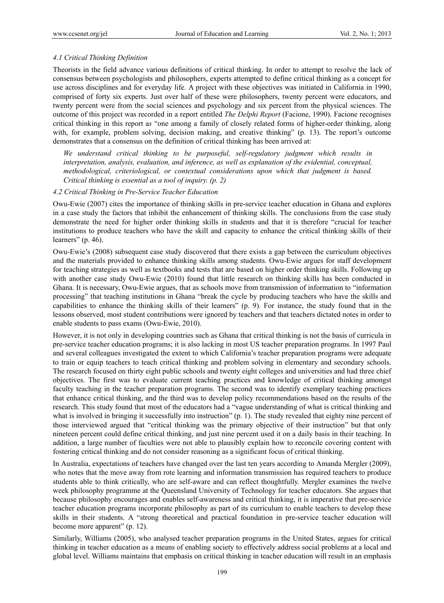## *4.1 Critical Thinking Definition*

Theorists in the field advance various definitions of critical thinking. In order to attempt to resolve the lack of consensus between psychologists and philosophers, experts attempted to define critical thinking as a concept for use across disciplines and for everyday life. A project with these objectives was initiated in California in 1990, comprised of forty six experts. Just over half of these were philosophers, twenty percent were educators, and twenty percent were from the social sciences and psychology and six percent from the physical sciences. The outcome of this project was recorded in a report entitled *The Delphi Report* (Facione, 1990). Facione recognises critical thinking in this report a*s* "one among a family of closely related forms of higher-order thinking, along with, for example, problem solving, decision making, and creative thinking" (p. 13). The report's outcome demonstrates that a consensus on the definition of critical thinking has been arrived at:

*We understand critical thinking to be purposeful, self-regulatory judgment which results in interpretation, analysis, evaluation, and inference, as well as explanation of the evidential, conceptual, methodological, criteriological, or contextual considerations upon which that judgment is based. Critical thinking is essential as a tool of inquiry. (p. 2)* 

#### *4.2 Critical Thinking in Pre-Service Teacher Education*

Owu-Ewie (2007) cites the importance of thinking skills in pre-service teacher education in Ghana and explores in a case study the factors that inhibit the enhancement of thinking skills. The conclusions from the case study demonstrate the need for higher order thinking skills in students and that it is therefore "crucial for teacher institutions to produce teachers who have the skill and capacity to enhance the critical thinking skills of their learners" (p. 46).

Owu-Ewie's (2008) subsequent case study discovered that there exists a gap between the curriculum objectives and the materials provided to enhance thinking skills among students. Owu-Ewie argues for staff development for teaching strategies as well as textbooks and tests that are based on higher order thinking skills. Following up with another case study Owu-Ewie (2010) found that little research on thinking skills has been conducted in Ghana. It is necessary, Owu-Ewie argues, that as schools move from transmission of information to "information processing" that teaching institutions in Ghana "break the cycle by producing teachers who have the skills and capabilities to enhance the thinking skills of their learners" (p. 9). For instance, the study found that in the lessons observed, most student contributions were ignored by teachers and that teachers dictated notes in order to enable students to pass exams (Owu-Ewie, 2010).

However, it is not only in developing countries such as Ghana that critical thinking is not the basis of curricula in pre-service teacher education programs; it is also lacking in most US teacher preparation programs. In 1997 Paul and several colleagues investigated the extent to which California's teacher preparation programs were adequate to train or equip teachers to teach critical thinking and problem solving in elementary and secondary schools. The research focused on thirty eight public schools and twenty eight colleges and universities and had three chief objectives. The first was to evaluate current teaching practices and knowledge of critical thinking amongst faculty teaching in the teacher preparation programs. The second was to identify exemplary teaching practices that enhance critical thinking, and the third was to develop policy recommendations based on the results of the research. This study found that most of the educators had a "vague understanding of what is critical thinking and what is involved in bringing it successfully into instruction" (p. 1). The study revealed that eighty nine percent of those interviewed argued that "critical thinking was the primary objective of their instruction" but that only nineteen percent could define critical thinking, and just nine percent used it on a daily basis in their teaching. In addition, a large number of faculties were not able to plausibly explain how to reconcile covering content with fostering critical thinking and do not consider reasoning as a significant focus of critical thinking.

In Australia, expectations of teachers have changed over the last ten years according to Amanda Mergler (2009), who notes that the move away from rote learning and information transmission has required teachers to produce students able to think critically, who are self-aware and can reflect thoughtfully. Mergler examines the twelve week philosophy programme at the Queensland University of Technology for teacher educators. She argues that because philosophy encourages and enables self-awareness and critical thinking, it is imperative that pre-service teacher education programs incorporate philosophy as part of its curriculum to enable teachers to develop these skills in their students. A "strong theoretical and practical foundation in pre-service teacher education will become more apparent" (p. 12).

Similarly, Williams (2005), who analysed teacher preparation programs in the United States, argues for critical thinking in teacher education as a means of enabling society to effectively address social problems at a local and global level. Williams maintains that emphasis on critical thinking in teacher education will result in an emphasis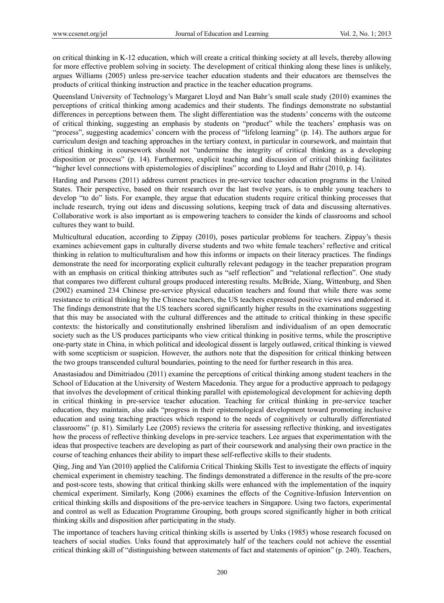on critical thinking in K-12 education, which will create a critical thinking society at all levels, thereby allowing for more effective problem solving in society. The development of critical thinking along these lines is unlikely, argues Williams (2005) unless pre-service teacher education students and their educators are themselves the products of critical thinking instruction and practice in the teacher education programs.

Queensland University of Technology's Margaret Lloyd and Nan Bahr's small scale study (2010) examines the perceptions of critical thinking among academics and their students. The findings demonstrate no substantial differences in perceptions between them. The slight differentiation was the students' concerns with the outcome of critical thinking, suggesting an emphasis by students on "product" while the teachers' emphasis was on "process", suggesting academics' concern with the process of "lifelong learning" (p. 14). The authors argue for curriculum design and teaching approaches in the tertiary context, in particular in coursework, and maintain that critical thinking in coursework should not "undermine the integrity of critical thinking as a developing disposition or process" (p. 14). Furthermore, explicit teaching and discussion of critical thinking facilitates "higher level connections with epistemologies of disciplines" according to Lloyd and Bahr (2010, p. 14).

Harding and Parsons (2011) address current practices in pre-service teacher education programs in the United States. Their perspective, based on their research over the last twelve years, is to enable young teachers to develop "to do" lists. For example, they argue that education students require critical thinking processes that include research, trying out ideas and discussing solutions, keeping track of data and discussing alternatives. Collaborative work is also important as is empowering teachers to consider the kinds of classrooms and school cultures they want to build.

Multicultural education, according to Zippay (2010), poses particular problems for teachers. Zippay's thesis examines achievement gaps in culturally diverse students and two white female teachers' reflective and critical thinking in relation to multiculturalism and how this informs or impacts on their literacy practices. The findings demonstrate the need for incorporating explicit culturally relevant pedagogy in the teacher preparation program with an emphasis on critical thinking attributes such as "self reflection" and "relational reflection". One study that compares two different cultural groups produced interesting results. McBride, Xiang, Wittenburg, and Shen (2002) examined 234 Chinese pre-service physical education teachers and found that while there was some resistance to critical thinking by the Chinese teachers, the US teachers expressed positive views and endorsed it. The findings demonstrate that the US teachers scored significantly higher results in the examinations suggesting that this may be associated with the cultural differences and the attitude to critical thinking in these specific contexts: the historically and constitutionally enshrined liberalism and individualism of an open democratic society such as the US produces participants who view critical thinking in positive terms, while the proscriptive one-party state in China, in which political and ideological dissent is largely outlawed, critical thinking is viewed with some scepticism or suspicion. However, the authors note that the disposition for critical thinking between the two groups transcended cultural boundaries, pointing to the need for further research in this area.

Anastasiadou and Dimitriadou (2011) examine the perceptions of critical thinking among student teachers in the School of Education at the University of Western Macedonia. They argue for a productive approach to pedagogy that involves the development of critical thinking parallel with epistemological development for achieving depth in critical thinking in pre-service teacher education. Teaching for critical thinking in pre-service teacher education, they maintain, also aids "progress in their epistemological development toward promoting inclusive education and using teaching practices which respond to the needs of cognitively or culturally differentiated classrooms" (p. 81). Similarly Lee (2005) reviews the criteria for assessing reflective thinking, and investigates how the process of reflective thinking develops in pre-service teachers. Lee argues that experimentation with the ideas that prospective teachers are developing as part of their coursework and analysing their own practice in the course of teaching enhances their ability to impart these self-reflective skills to their students.

Qing, Jing and Yan (2010) applied the California Critical Thinking Skills Test to investigate the effects of inquiry chemical experiment in chemistry teaching. The findings demonstrated a difference in the results of the pre-score and post-score tests, showing that critical thinking skills were enhanced with the implementation of the inquiry chemical experiment. Similarly, Kong (2006) examines the effects of the Cognitive-Infusion Intervention on critical thinking skills and dispositions of the pre-service teachers in Singapore. Using two factors, experimental and control as well as Education Programme Grouping, both groups scored significantly higher in both critical thinking skills and disposition after participating in the study.

The importance of teachers having critical thinking skills is asserted by Unks (1985) whose research focused on teachers of social studies. Unks found that approximately half of the teachers could not achieve the essential critical thinking skill of "distinguishing between statements of fact and statements of opinion" (p. 240). Teachers,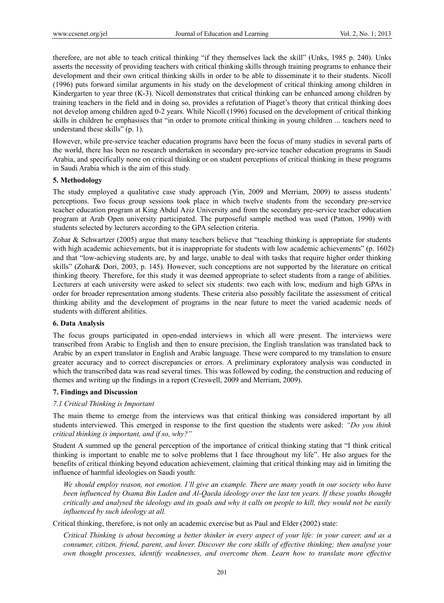therefore, are not able to teach critical thinking "if they themselves lack the skill" (Unks, 1985 p. 240). Unks asserts the necessity of providing teachers with critical thinking skills through training programs to enhance their development and their own critical thinking skills in order to be able to disseminate it to their students. Nicoll (1996) puts forward similar arguments in his study on the development of critical thinking among children in Kindergarten to year three (K-3). Nicoll demonstrates that critical thinking can be enhanced among children by training teachers in the field and in doing so, provides a refutation of Piaget's theory that critical thinking does not develop among children aged 0-2 years. While Nicoll (1996) focused on the development of critical thinking skills in children he emphasises that "in order to promote critical thinking in young children ... teachers need to understand these skills" (p. 1).

However, while pre-service teacher education programs have been the focus of many studies in several parts of the world, there has been no research undertaken in secondary pre-service teacher education programs in Saudi Arabia, and specifically none on critical thinking or on student perceptions of critical thinking in these programs in Saudi Arabia which is the aim of this study.

#### **5. Methodology**

The study employed a qualitative case study approach (Yin, 2009 and Merriam, 2009) to assess students' perceptions. Two focus group sessions took place in which twelve students from the secondary pre-service teacher education program at King Abdul Aziz University and from the secondary pre-service teacher education program at Arab Open university participated. The purposeful sample method was used (Patton, 1990) with students selected by lecturers according to the GPA selection criteria.

Zohar & Schwartzer (2005) argue that many teachers believe that "teaching thinking is appropriate for students with high academic achievements, but it is inappropriate for students with low academic achievements" (p. 1602) and that "low-achieving students are, by and large, unable to deal with tasks that require higher order thinking skills" (Zohar& Dori, 2003, p. 145). However, such conceptions are not supported by the literature on critical thinking theory. Therefore, for this study it was deemed appropriate to select students from a range of abilities. Lecturers at each university were asked to select six students: two each with low, medium and high GPAs in order for broader representation among students. These criteria also possibly facilitate the assessment of critical thinking ability and the development of programs in the near future to meet the varied academic needs of students with different abilities.

#### **6. Data Analysis**

The focus groups participated in open-ended interviews in which all were present. The interviews were transcribed from Arabic to English and then to ensure precision, the English translation was translated back to Arabic by an expert translator in English and Arabic language. These were compared to my translation to ensure greater accuracy and to correct discrepancies or errors. A preliminary exploratory analysis was conducted in which the transcribed data was read several times. This was followed by coding, the construction and reducing of themes and writing up the findings in a report (Creswell, 2009 and Merriam, 2009).

#### **7. Findings and Discussion**

## *7.1 Critical Thinking is Important*

The main theme to emerge from the interviews was that critical thinking was considered important by all students interviewed. This emerged in response to the first question the students were asked: *"Do you think critical thinking is important, and if so, why?"*

Student A summed up the general perception of the importance of critical thinking stating that "I think critical thinking is important to enable me to solve problems that I face throughout my life". He also argues for the benefits of critical thinking beyond education achievement, claiming that critical thinking may aid in limiting the influence of harmful ideologies on Saudi youth:

*We should employ reason, not emotion. I'll give an example. There are many youth in our society who have been influenced by Osama Bin Laden and Al-Qaeda ideology over the last ten years. If these youths thought critically and analysed the ideology and its goals and why it calls on people to kill, they would not be easily influenced by such ideology at all.* 

Critical thinking, therefore, is not only an academic exercise but as Paul and Elder (2002) state:

*Critical Thinking is about becoming a better thinker in every aspect of your life: in your career, and as a consumer, citizen, friend, parent, and lover. Discover the core skills of effective thinking; then analyse your own thought processes, identify weaknesses, and overcome them. Learn how to translate more effective*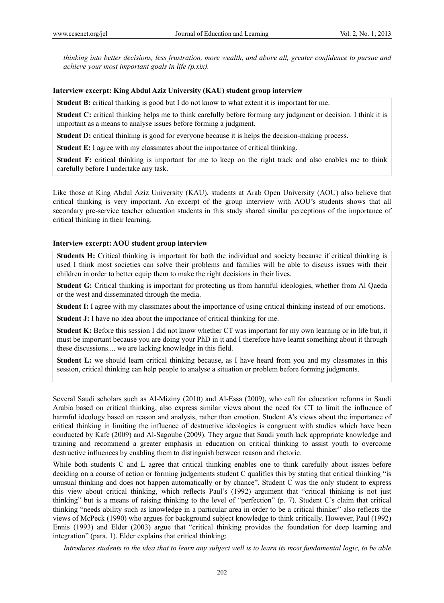*thinking into better decisions, less frustration, more wealth, and above all, greater confidence to pursue and achieve your most important goals in life (p.xix).* 

#### **Interview excerpt: King Abdul Aziz University (KAU) student group interview**

**Student B:** critical thinking is good but I do not know to what extent it is important for me.

**Student C:** critical thinking helps me to think carefully before forming any judgment or decision. I think it is important as a means to analyse issues before forming a judgment.

**Student D:** critical thinking is good for everyone because it is helps the decision-making process.

**Student E:** I agree with my classmates about the importance of critical thinking.

**Student F:** critical thinking is important for me to keep on the right track and also enables me to think carefully before I undertake any task.

Like those at King Abdul Aziz University (KAU), students at Arab Open University (AOU) also believe that critical thinking is very important. An excerpt of the group interview with AOU's students shows that all secondary pre-service teacher education students in this study shared similar perceptions of the importance of critical thinking in their learning.

#### **Interview excerpt: AOU student group interview**

**Students H:** Critical thinking is important for both the individual and society because if critical thinking is used I think most societies can solve their problems and families will be able to discuss issues with their children in order to better equip them to make the right decisions in their lives.

**Student G:** Critical thinking is important for protecting us from harmful ideologies, whether from Al Qaeda or the west and disseminated through the media.

**Student I:** I agree with my classmates about the importance of using critical thinking instead of our emotions.

**Student J:** I have no idea about the importance of critical thinking for me.

**Student K:** Before this session I did not know whether CT was important for my own learning or in life but, it must be important because you are doing your PhD in it and I therefore have learnt something about it through these discussions.... we are lacking knowledge in this field.

**Student L:** we should learn critical thinking because, as I have heard from you and my classmates in this session, critical thinking can help people to analyse a situation or problem before forming judgments.

Several Saudi scholars such as Al-Miziny (2010) and Al-Essa (2009), who call for education reforms in Saudi Arabia based on critical thinking, also express similar views about the need for CT to limit the influence of harmful ideology based on reason and analysis, rather than emotion. Student A's views about the importance of critical thinking in limiting the influence of destructive ideologies is congruent with studies which have been conducted by Kafe (2009) and Al-Sagoube (2009). They argue that Saudi youth lack appropriate knowledge and training and recommend a greater emphasis in education on critical thinking to assist youth to overcome destructive influences by enabling them to distinguish between reason and rhetoric.

While both students C and L agree that critical thinking enables one to think carefully about issues before deciding on a course of action or forming judgements student C qualifies this by stating that critical thinking "is unusual thinking and does not happen automatically or by chance". Student C was the only student to express this view about critical thinking, which reflects Paul's (1992) argument that "critical thinking is not just thinking" but is a means of raising thinking to the level of "perfection" (p. 7). Student C's claim that critical thinking "needs ability such as knowledge in a particular area in order to be a critical thinker" also reflects the views of McPeck (1990) who argues for background subject knowledge to think critically. However, Paul (1992) Ennis (1993) and Elder (2003) argue that "critical thinking provides the foundation for deep learning and integration" (para. 1). Elder explains that critical thinking:

*Introduces students to the idea that to learn any subject well is to learn its most fundamental logic, to be able*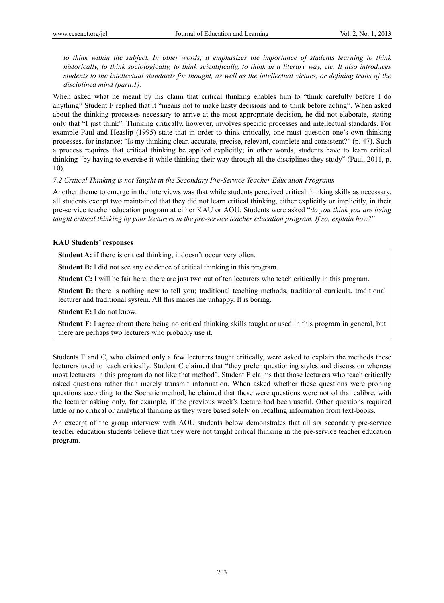*to think within the subject. In other words, it emphasizes the importance of students learning to think historically, to think sociologically, to think scientifically, to think in a literary way, etc. It also introduces students to the intellectual standards for thought, as well as the intellectual virtues, or defining traits of the disciplined mind (para.1).* 

When asked what he meant by his claim that critical thinking enables him to "think carefully before I do anything" Student F replied that it "means not to make hasty decisions and to think before acting". When asked about the thinking processes necessary to arrive at the most appropriate decision, he did not elaborate, stating only that "I just think". Thinking critically, however, involves specific processes and intellectual standards. For example Paul and Heaslip (1995) state that in order to think critically, one must question one's own thinking processes, for instance: "Is my thinking clear, accurate, precise, relevant, complete and consistent?" (p. 47). Such a process requires that critical thinking be applied explicitly; in other words, students have to learn critical thinking "by having to exercise it while thinking their way through all the disciplines they study" (Paul, 2011, p. 10).

#### *7.2 Critical Thinking is not Taught in the Secondary Pre-Service Teacher Education Programs*

Another theme to emerge in the interviews was that while students perceived critical thinking skills as necessary, all students except two maintained that they did not learn critical thinking, either explicitly or implicitly, in their pre-service teacher education program at either KAU or AOU. Students were asked "*do you think you are being taught critical thinking by your lecturers in the pre-service teacher education program. If so, explain how?*"

## **KAU Students' responses**

**Student A:** if there is critical thinking, it doesn't occur very often.

**Student B:** I did not see any evidence of critical thinking in this program.

**Student C:** I will be fair here; there are just two out of ten lecturers who teach critically in this program.

**Student D:** there is nothing new to tell you; traditional teaching methods, traditional curricula, traditional lecturer and traditional system. All this makes me unhappy. It is boring.

**Student E:** I do not know.

**Student F**: I agree about there being no critical thinking skills taught or used in this program in general, but there are perhaps two lecturers who probably use it.

Students F and C, who claimed only a few lecturers taught critically, were asked to explain the methods these lecturers used to teach critically. Student C claimed that "they prefer questioning styles and discussion whereas most lecturers in this program do not like that method". Student F claims that those lecturers who teach critically asked questions rather than merely transmit information. When asked whether these questions were probing questions according to the Socratic method, he claimed that these were questions were not of that calibre, with the lecturer asking only, for example, if the previous week's lecture had been useful. Other questions required little or no critical or analytical thinking as they were based solely on recalling information from text-books.

An excerpt of the group interview with AOU students below demonstrates that all six secondary pre-service teacher education students believe that they were not taught critical thinking in the pre-service teacher education program.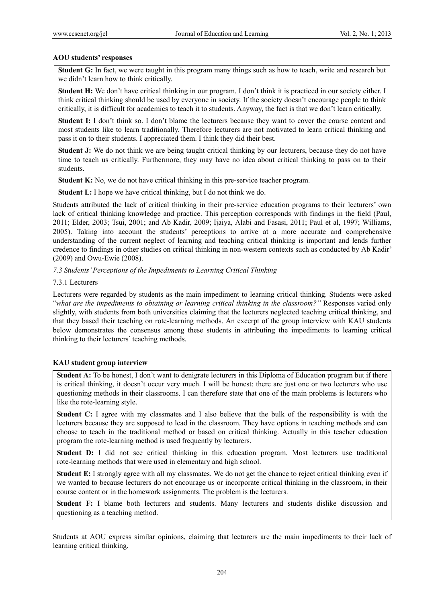## **AOU students' responses**

**Student G:** In fact, we were taught in this program many things such as how to teach, write and research but we didn't learn how to think critically.

**Student H:** We don't have critical thinking in our program. I don't think it is practiced in our society either. I think critical thinking should be used by everyone in society. If the society doesn't encourage people to think critically, it is difficult for academics to teach it to students. Anyway, the fact is that we don't learn critically.

**Student I:** I don't think so. I don't blame the lecturers because they want to cover the course content and most students like to learn traditionally. Therefore lecturers are not motivated to learn critical thinking and pass it on to their students. I appreciated them. I think they did their best.

**Student J:** We do not think we are being taught critical thinking by our lecturers, because they do not have time to teach us critically. Furthermore, they may have no idea about critical thinking to pass on to their students.

**Student K:** No, we do not have critical thinking in this pre-service teacher program.

**Student L:** I hope we have critical thinking, but I do not think we do.

Students attributed the lack of critical thinking in their pre-service education programs to their lecturers' own lack of critical thinking knowledge and practice. This perception corresponds with findings in the field (Paul, 2011; Elder, 2003; Tsui, 2001; and Ab Kadir, 2009; Ijaiya, Alabi and Fasasi, 2011; Paul et al, 1997; Williams, 2005). Taking into account the students' perceptions to arrive at a more accurate and comprehensive understanding of the current neglect of learning and teaching critical thinking is important and lends further credence to findings in other studies on critical thinking in non-western contexts such as conducted by Ab Kadir' (2009) and Owu-Ewie (2008).

## *7.3 Students' Perceptions of the Impediments to Learning Critical Thinking*

## 7.3.1 Lecturers

Lecturers were regarded by students as the main impediment to learning critical thinking. Students were asked "*what are the impediments to obtaining or learning critical thinking in the classroom?"* Responses varied only slightly, with students from both universities claiming that the lecturers neglected teaching critical thinking, and that they based their teaching on rote-learning methods. An excerpt of the group interview with KAU students below demonstrates the consensus among these students in attributing the impediments to learning critical thinking to their lecturers' teaching methods.

## **KAU student group interview**

**Student A:** To be honest, I don't want to denigrate lecturers in this Diploma of Education program but if there is critical thinking, it doesn't occur very much. I will be honest: there are just one or two lecturers who use questioning methods in their classrooms. I can therefore state that one of the main problems is lecturers who like the rote-learning style.

**Student C:** I agree with my classmates and I also believe that the bulk of the responsibility is with the lecturers because they are supposed to lead in the classroom. They have options in teaching methods and can choose to teach in the traditional method or based on critical thinking. Actually in this teacher education program the rote-learning method is used frequently by lecturers.

**Student D:** I did not see critical thinking in this education program. Most lecturers use traditional rote-learning methods that were used in elementary and high school.

**Student E:** I strongly agree with all my classmates. We do not get the chance to reject critical thinking even if we wanted to because lecturers do not encourage us or incorporate critical thinking in the classroom, in their course content or in the homework assignments. The problem is the lecturers.

**Student F:** I blame both lecturers and students. Many lecturers and students dislike discussion and questioning as a teaching method.

Students at AOU express similar opinions, claiming that lecturers are the main impediments to their lack of learning critical thinking.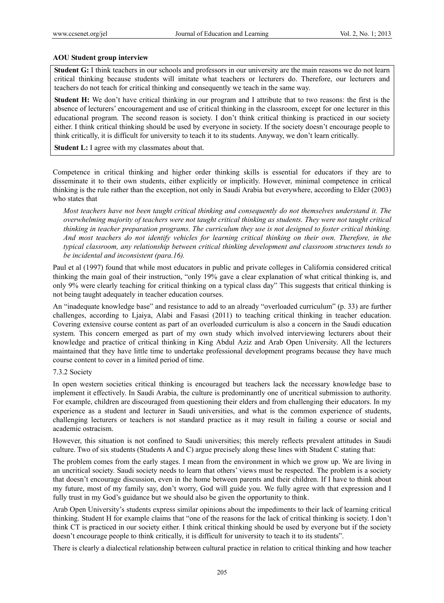## **AOU Student group interview**

**Student G:** I think teachers in our schools and professors in our university are the main reasons we do not learn critical thinking because students will imitate what teachers or lecturers do. Therefore, our lecturers and teachers do not teach for critical thinking and consequently we teach in the same way.

**Student H:** We don't have critical thinking in our program and I attribute that to two reasons: the first is the absence of lecturers' encouragement and use of critical thinking in the classroom, except for one lecturer in this educational program. The second reason is society. I don't think critical thinking is practiced in our society either. I think critical thinking should be used by everyone in society. If the society doesn't encourage people to think critically, it is difficult for university to teach it to its students. Anyway, we don't learn critically.

**Student L:** I agree with my classmates about that.

Competence in critical thinking and higher order thinking skills is essential for educators if they are to disseminate it to their own students, either explicitly or implicitly. However, minimal competence in critical thinking is the rule rather than the exception, not only in Saudi Arabia but everywhere, according to Elder (2003) who states that

*Most teachers have not been taught critical thinking and consequently do not themselves understand it. The overwhelming majority of teachers were not taught critical thinking as students. They were not taught critical thinking in teacher preparation programs. The curriculum they use is not designed to foster critical thinking. And most teachers do not identify vehicles for learning critical thinking on their own. Therefore, in the typical classroom, any relationship between critical thinking development and classroom structures tends to be incidental and inconsistent (para.16).* 

Paul et al (1997) found that while most educators in public and private colleges in California considered critical thinking the main goal of their instruction, "only 19% gave a clear explanation of what critical thinking is, and only 9% were clearly teaching for critical thinking on a typical class day" This suggests that critical thinking is not being taught adequately in teacher education courses.

An "inadequate knowledge base" and resistance to add to an already "overloaded curriculum" (p. 33) are further challenges, according to Ljaiya, Alabi and Fasasi (2011) to teaching critical thinking in teacher education. Covering extensive course content as part of an overloaded curriculum is also a concern in the Saudi education system. This concern emerged as part of my own study which involved interviewing lecturers about their knowledge and practice of critical thinking in King Abdul Aziz and Arab Open University. All the lecturers maintained that they have little time to undertake professional development programs because they have much course content to cover in a limited period of time.

## 7.3.2 Society

In open western societies critical thinking is encouraged but teachers lack the necessary knowledge base to implement it effectively. In Saudi Arabia, the culture is predominantly one of uncritical submission to authority. For example, children are discouraged from questioning their elders and from challenging their educators. In my experience as a student and lecturer in Saudi universities, and what is the common experience of students, challenging lecturers or teachers is not standard practice as it may result in failing a course or social and academic ostracism.

However, this situation is not confined to Saudi universities; this merely reflects prevalent attitudes in Saudi culture. Two of six students (Students A and C) argue precisely along these lines with Student C stating that:

The problem comes from the early stages. I mean from the environment in which we grow up. We are living in an uncritical society. Saudi society needs to learn that others' views must be respected. The problem is a society that doesn't encourage discussion, even in the home between parents and their children. If I have to think about my future, most of my family say, don't worry, God will guide you. We fully agree with that expression and I fully trust in my God's guidance but we should also be given the opportunity to think.

Arab Open University's students express similar opinions about the impediments to their lack of learning critical thinking. Student H for example claims that "one of the reasons for the lack of critical thinking is society. I don't think CT is practiced in our society either. I think critical thinking should be used by everyone but if the society doesn't encourage people to think critically, it is difficult for university to teach it to its students".

There is clearly a dialectical relationship between cultural practice in relation to critical thinking and how teacher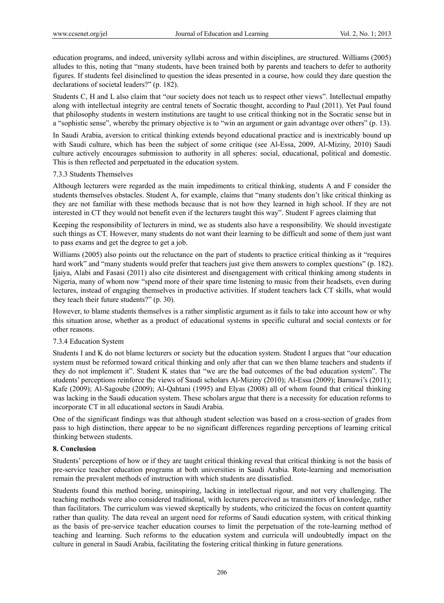education programs, and indeed, university syllabi across and within disciplines, are structured. Williams (2005) alludes to this, noting that "many students, have been trained both by parents and teachers to defer to authority figures. If students feel disinclined to question the ideas presented in a course, how could they dare question the declarations of societal leaders?" (p. 182).

Students C, H and L also claim that "our society does not teach us to respect other views". Intellectual empathy along with intellectual integrity are central tenets of Socratic thought, according to Paul (2011). Yet Paul found that philosophy students in western institutions are taught to use critical thinking not in the Socratic sense but in a "sophistic sense", whereby the primary objective is to "win an argument or gain advantage over others" (p. 13).

In Saudi Arabia, aversion to critical thinking extends beyond educational practice and is inextricably bound up with Saudi culture, which has been the subject of some critique (see Al-Essa, 2009, Al-Miziny, 2010) Saudi culture actively encourages submission to authority in all spheres: social, educational, political and domestic. This is then reflected and perpetuated in the education system.

## 7.3.3 Students Themselves

Although lecturers were regarded as the main impediments to critical thinking, students A and F consider the students themselves obstacles. Student A, for example, claims that "many students don't like critical thinking as they are not familiar with these methods because that is not how they learned in high school. If they are not interested in CT they would not benefit even if the lecturers taught this way". Student F agrees claiming that

Keeping the responsibility of lecturers in mind, we as students also have a responsibility. We should investigate such things as CT. However, many students do not want their learning to be difficult and some of them just want to pass exams and get the degree to get a job.

Williams (2005) also points out the reluctance on the part of students to practice critical thinking as it "requires hard work" and "many students would prefer that teachers just give them answers to complex questions" (p. 182). Ijaiya, Alabi and Fasasi (2011) also cite disinterest and disengagement with critical thinking among students in Nigeria, many of whom now "spend more of their spare time listening to music from their headsets, even during lectures, instead of engaging themselves in productive activities. If student teachers lack CT skills, what would they teach their future students?" (p. 30).

However, to blame students themselves is a rather simplistic argument as it fails to take into account how or why this situation arose, whether as a product of educational systems in specific cultural and social contexts or for other reasons.

## 7.3.4 Education System

Students I and K do not blame lecturers or society but the education system. Student I argues that "our education system must be reformed toward critical thinking and only after that can we then blame teachers and students if they do not implement it". Student K states that "we are the bad outcomes of the bad education system". The students' perceptions reinforce the views of Saudi scholars Al-Miziny (2010); Al-Essa (2009); Barnawi's (2011); Kafe (2009); Al-Sagoube (2009); Al-Qahtani (1995) and Elyas (2008) all of whom found that critical thinking was lacking in the Saudi education system. These scholars argue that there is a necessity for education reforms to incorporate CT in all educational sectors in Saudi Arabia.

One of the significant findings was that although student selection was based on a cross-section of grades from pass to high distinction, there appear to be no significant differences regarding perceptions of learning critical thinking between students.

## **8. Conclusion**

Students' perceptions of how or if they are taught critical thinking reveal that critical thinking is not the basis of pre-service teacher education programs at both universities in Saudi Arabia. Rote-learning and memorisation remain the prevalent methods of instruction with which students are dissatisfied.

Students found this method boring, uninspiring, lacking in intellectual rigour, and not very challenging. The teaching methods were also considered traditional, with lecturers perceived as transmitters of knowledge, rather than facilitators. The curriculum was viewed skeptically by students, who criticized the focus on content quantity rather than quality. The data reveal an urgent need for reforms of Saudi education system, with critical thinking as the basis of pre-service teacher education courses to limit the perpetuation of the rote-learning method of teaching and learning. Such reforms to the education system and curricula will undoubtedly impact on the culture in general in Saudi Arabia, facilitating the fostering critical thinking in future generations.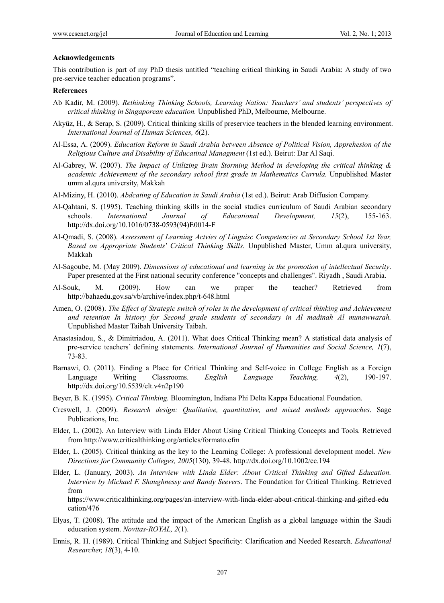#### **Acknowledgements**

This contribution is part of my PhD thesis untitled "teaching critical thinking in Saudi Arabia: A study of two pre-service teacher education programs".

#### **References**

- Ab Kadir, M. (2009). *Rethinking Thinking Schools, Learning Nation: Teachers' and students' perspectives of critical thinking in Singaporean education.* Unpublished PhD, Melbourne, Melbourne.
- Akyüz, H., & Serap, S. (2009). Critical thinking skills of preservice teachers in the blended learning environment. *International Journal of Human Sciences, 6*(2).
- Al-Essa, A. (2009). *Education Reform in Saudi Arabia between Absence of Political Vision, Apprehesion of the Religious Culture and Disability of Educatinal Managment* (1st ed.). Beirut: Dar Al Saqi.
- Al-Gabrey, W. (2007). *The Impact of Utilizing Brain Storming Method in developing the critical thinking & academic Achievement of the secondary school first grade in Mathematics Currula.* Unpublished Master umm al.qura university, Makkah
- Al-Miziny, H. (2010). *Abdcating of Education in Saudi Arabia* (1st ed.). Beirut: Arab Diffusion Company.
- Al-Qahtani, S. (1995). Teaching thinking skills in the social studies curriculum of Saudi Arabian secondary schools. *International Journal of Educational Development, 15*(2), 155-163. http://dx.doi.org/10.1016/0738-0593(94)E0014-F
- Al-Qmadi, S. (2008). *Assessment of Learning Actvies of Linguisc Competencies at Secondary School 1st Year, Based on Appropriate Students' Critical Thinking Skills.* Unpublished Master, Umm al.qura university, Makkah
- Al-Sagoube, M. (May 2009). *Dimensions of educational and learning in the promotion of intellectual Security*. Paper presented at the First national security conference "concepts and challenges". Riyadh , Saudi Arabia.
- Al-Souk, M. (2009). How can we praper the teacher? Retrieved from http://bahaedu.gov.sa/vb/archive/index.php/t-648.html
- Amen, O. (2008). *The Effect of Strategic switch of roles in the development of critical thinking and Achievement and retention In history for Second grade students of secondary in Al madinah Al munawwarah.* Unpublished Master Taibah University Taibah.
- Anastasiadou, S., & Dimitriadou, A. (2011). What does Critical Thinking mean? A statistical data analysis of pre-service teachers' defining statements. *International Journal of Humanities and Social Science, 1*(7), 73-83.
- Barnawi, O. (2011). Finding a Place for Critical Thinking and Self-voice in College English as a Foreign Language Writing Classrooms. *English Language Teaching, 4*(2), 190-197. http://dx.doi.org/10.5539/elt.v4n2p190
- Beyer, B. K. (1995). *Critical Thinking.* Bloomington, Indiana Phi Delta Kappa Educational Foundation.
- Creswell, J. (2009). *Research design: Qualitative, quantitative, and mixed methods approaches*. Sage Publications, Inc.
- Elder, L. (2002). An Interview with Linda Elder About Using Critical Thinking Concepts and Tools. Retrieved from http://www.criticalthinking.org/articles/formato.cfm
- Elder, L. (2005). Critical thinking as the key to the Learning College: A professional development model. *New Directions for Community Colleges, 2005*(130), 39-48. http://dx.doi.org/10.1002/cc.194
- Elder, L. (January, 2003). *An Interview with Linda Elder: About Critical Thinking and Gifted Education. Interview by Michael F. Shaughnessy and Randy Seevers*. The Foundation for Critical Thinking. Retrieved from

https://www.criticalthinking.org/pages/an-interview-with-linda-elder-about-critical-thinking-and-gifted-edu cation/476

- Elyas, T. (2008). The attitude and the impact of the American English as a global language within the Saudi education system. *Novitas-ROYAL, 2*(1).
- Ennis, R. H. (1989). Critical Thinking and Subject Specificity: Clarification and Needed Research. *Educational Researcher, 18*(3), 4-10.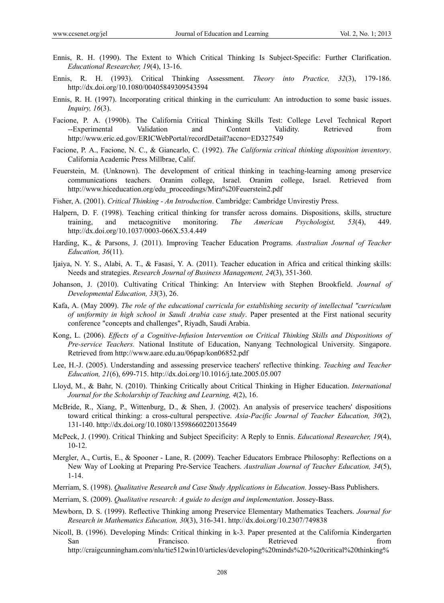- Ennis, R. H. (1990). The Extent to Which Critical Thinking Is Subject-Specific: Further Clarification. *Educational Researcher, 19*(4), 13-16.
- Ennis, R. H. (1993). Critical Thinking Assessment. *Theory into Practice, 32*(3), 179-186. http://dx.doi.org/10.1080/00405849309543594
- Ennis, R. H. (1997). Incorporating critical thinking in the curriculum: An introduction to some basic issues. *Inquiry, 16*(3).
- Facione, P. A. (1990b). The California Critical Thinking Skills Test: College Level Technical Report --Experimental Validation and Content Validity. Retrieved from http://www.eric.ed.gov/ERICWebPortal/recordDetail?accno=ED327549
- Facione, P. A., Facione, N. C., & Giancarlo, C. (1992). *The California critical thinking disposition inventory*. California Academic Press Millbrae, Calif.
- Feuerstein, M. (Unknown). The development of critical thinking in teaching-learning among preservice communications teachers. Oranim college, Israel. Oranim college, Israel. Retrieved from http://www.hiceducation.org/edu\_proceedings/Mira%20Feuerstein2.pdf
- Fisher, A. (2001). *Critical Thinking An Introduction*. Cambridge: Cambridge Unvirestiy Press.
- Halpern, D. F. (1998). Teaching critical thinking for transfer across domains. Dispositions, skills, structure training, and metacognitive monitoring. *The American Psychologist, 53*(4), 449. http://dx.doi.org/10.1037/0003-066X.53.4.449
- Harding, K., & Parsons, J. (2011). Improving Teacher Education Programs. *Australian Journal of Teacher Education, 36*(11).
- Ijaiya, N. Y. S., Alabi, A. T., & Fasasi, Y. A. (2011). Teacher education in Africa and critical thinking skills: Needs and strategies. *Research Journal of Business Management, 24*(3), 351-360.
- Johanson, J. (2010). Cultivating Critical Thinking: An Interview with Stephen Brookfield. *Journal of Developmental Education, 33*(3), 26.
- Kafa, A. (May 2009). *The role of the educational curricula for establishing security of intellectual "curriculum of uniformity in high school in Saudi Arabia case study*. Paper presented at the First national security conference "concepts and challenges", Riyadh, Saudi Arabia.
- Kong, L. (2006). *Effects of a Cognitive-Infusion Intervention on Critical Thinking Skills and Dispositions of Pre-service Teachers.* National Institute of Education, Nanyang Technological University. Singapore. Retrieved from http://www.aare.edu.au/06pap/kon06852.pdf
- Lee, H.-J. (2005). Understanding and assessing preservice teachers' reflective thinking. *Teaching and Teacher Education, 21*(6), 699-715. http://dx.doi.org/10.1016/j.tate.2005.05.007
- Lloyd, M., & Bahr, N. (2010). Thinking Critically about Critical Thinking in Higher Education. *International Journal for the Scholarship of Teaching and Learning, 4*(2), 16.
- McBride, R., Xiang, P., Wittenburg, D., & Shen, J. (2002). An analysis of preservice teachers' dispositions toward critical thinking: a cross-cultural perspective. *Asia-Pacific Journal of Teacher Education, 30*(2), 131-140. http://dx.doi.org/10.1080/13598660220135649
- McPeck, J. (1990). Critical Thinking and Subject Specificity: A Reply to Ennis. *Educational Researcher, 19*(4), 10-12.
- Mergler, A., Curtis, E., & Spooner Lane, R. (2009). Teacher Educators Embrace Philosophy: Reflections on a New Way of Looking at Preparing Pre-Service Teachers. *Australian Journal of Teacher Education, 34*(5), 1-14.
- Merriam, S. (1998). *Qualitative Research and Case Study Applications in Education.* Jossey-Bass Publishers.
- Merriam, S. (2009). *Qualitative research: A guide to design and implementation*. Jossey-Bass.
- Mewborn, D. S. (1999). Reflective Thinking among Preservice Elementary Mathematics Teachers. *Journal for Research in Mathematics Education, 30*(3), 316-341. http://dx.doi.org/10.2307/749838
- Nicoll, B. (1996). Developing Minds: Critical thinking in k-3. Paper presented at the California Kindergarten San Francisco. Retrieved from Francisco. http://craigcunningham.com/nlu/tie512win10/articles/developing%20minds%20-%20critical%20thinking%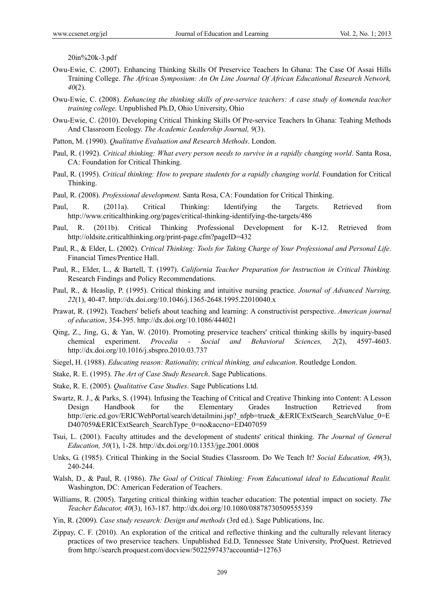20in%20k-3.pdf

- Owu-Ewie, C. (2007). Enhancing Thinking Skills Of Preservice Teachers In Ghana: The Case Of Assai Hills Training College. *The African Symposium: An On Line Journal Of African Educational Research Network, 40*(2).
- Owu-Ewie, C. (2008). *Enhancing the thinking skills of pre-service teachers: A case study of komenda teacher training college.* Unpublished Ph.D, Ohio University, Ohio
- Owu-Ewie, C. (2010). Developing Critical Thinking Skills Of Pre-service Teachers In Ghana: Teahing Methods And Classroom Ecology. *The Academic Leadership Journal, 9*(3).
- Patton, M. (1990). *Qualitative Evaluation and Research Methods*. London.
- Paul, R. (1992). *Critical thinking: What every person needs to survive in a rapidly changing world*. Santa Rosa, CA: Foundation for Critical Thinking.
- Paul, R. (1995). *Critical thinking: How to prepare students for a rapidly changing world*. Foundation for Critical Thinking.
- Paul, R. (2008). *Professional development.* Santa Rosa, CA: Foundation for Critical Thinking.
- Paul, R. (2011a). Critical Thinking: Identifying the Targets. Retrieved from http://www.criticalthinking.org/pages/critical-thinking-identifying-the-targets/486
- Paul, R. (2011b). Critical Thinking Professional Development for K-12. Retrieved from http://oldsite.criticalthinking.org/print-page.cfm?pageID=432
- Paul, R., & Elder, L. (2002). *Critical Thinking: Tools for Taking Charge of Your Professional and Personal Life*. Financial Times/Prentice Hall.
- Paul, R., Elder, L., & Bartell, T. (1997). *California Teacher Preparation for Instruction in Critical Thinking.* Research Findings and Policy Recommendations.
- Paul, R., & Heaslip, P. (1995). Critical thinking and intuitive nursing practice. *Journal of Advanced Nursing, 22*(1), 40-47. http://dx.doi.org/10.1046/j.1365-2648.1995.22010040.x
- Prawat, R. (1992). Teachers' beliefs about teaching and learning: A constructivist perspective. *American journal of education*, 354-395. http://dx.doi.org/10.1086/444021
- Qing, Z., Jing, G., & Yan, W. (2010). Promoting preservice teachers' critical thinking skills by inquiry-based chemical experiment. *Procedia - Social and Behavioral Sciences, 2*(2), 4597-4603. http://dx.doi.org/10.1016/j.sbspro.2010.03.737
- Siegel, H. (1988). *Educating reason: Rationality, critical thinking, and education*. Routledge London.
- Stake, R. E. (1995). *The Art of Case Study Research*. Sage Publications.
- Stake, R. E. (2005). *Qualitative Case Studies*. Sage Publications Ltd.
- Swartz, R. J., & Parks, S. (1994). Infusing the Teaching of Critical and Creative Thinking into Content: A Lesson Design Handbook for the Elementary Grades Instruction Retrieved from http://eric.ed.gov/ERICWebPortal/search/detailmini.jsp?\_nfpb=true&\_&ERICExtSearch\_SearchValue\_0=E D407059&ERICExtSearch\_SearchType\_0=no&accno=ED407059
- Tsui, L. (2001). Faculty attitudes and the development of students' critical thinking. *The Journal of General Education, 50*(1), 1-28. http://dx.doi.org/10.1353/jge.2001.0008
- Unks, G. (1985). Critical Thinking in the Social Studies Classroom. Do We Teach It? *Social Education, 49*(3), 240-244.
- Walsh, D., & Paul, R. (1986). *The Goal of Critical Thinking: From Educational ideal to Educational Realit.*  Washington, DC: American Federation of Teachers.
- Williams, R. (2005). Targeting critical thinking within teacher education: The potential impact on society. *The Teacher Educator, 40*(3), 163-187. http://dx.doi.org/10.1080/08878730509555359
- Yin, R. (2009). *Case study research: Design and methods* (3rd ed.). Sage Publications, Inc.
- Zippay, C. F. (2010). An exploration of the critical and reflective thinking and the culturally relevant literacy practices of two preservice teachers. Unpublished Ed.D, Tennessee State University, ProQuest. Retrieved from http://search.proquest.com/docview/502259743?accountid=12763